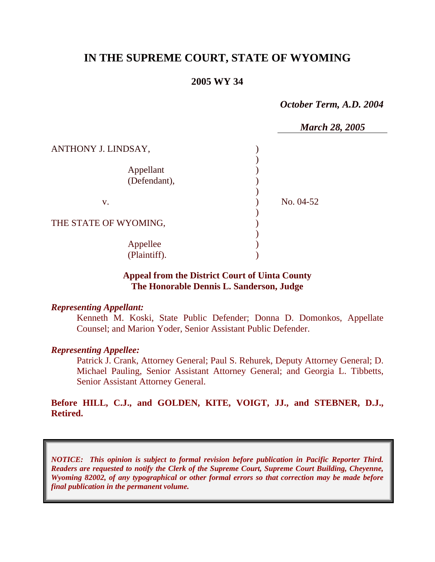# **IN THE SUPREME COURT, STATE OF WYOMING**

## **2005 WY 34**

*October Term, A.D. 2004* 

|                       | <b>March 28, 2005</b> |
|-----------------------|-----------------------|
| ANTHONY J. LINDSAY,   |                       |
|                       |                       |
| Appellant             |                       |
| (Defendant),          |                       |
|                       |                       |
| V.                    | No. 04-52             |
|                       |                       |
| THE STATE OF WYOMING, |                       |
|                       |                       |
| Appellee              |                       |
| (Plaintiff).          |                       |

## **Appeal from the District Court of Uinta County The Honorable Dennis L. Sanderson, Judge**

### *Representing Appellant:*

Kenneth M. Koski, State Public Defender; Donna D. Domonkos, Appellate Counsel; and Marion Yoder, Senior Assistant Public Defender.

### *Representing Appellee:*

Patrick J. Crank, Attorney General; Paul S. Rehurek, Deputy Attorney General; D. Michael Pauling, Senior Assistant Attorney General; and Georgia L. Tibbetts, Senior Assistant Attorney General.

## **Before HILL, C.J., and GOLDEN, KITE, VOIGT, JJ., and STEBNER, D.J., Retired.**

*NOTICE: This opinion is subject to formal revision before publication in Pacific Reporter Third. Readers are requested to notify the Clerk of the Supreme Court, Supreme Court Building, Cheyenne, Wyoming 82002, of any typographical or other formal errors so that correction may be made before final publication in the permanent volume.*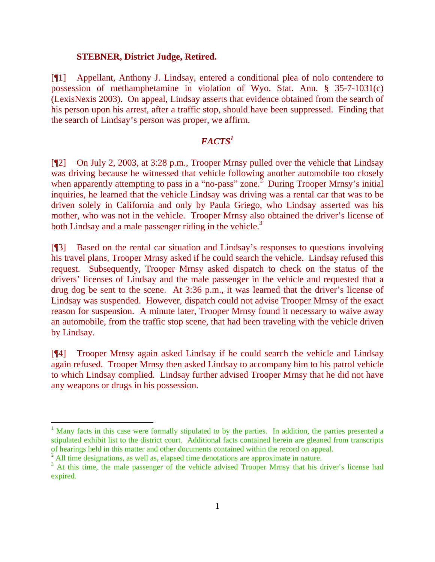#### **STEBNER, District Judge, Retired.**

[¶1] Appellant, Anthony J. Lindsay, entered a conditional plea of nolo contendere to possession of methamphetamine in violation of Wyo. Stat. Ann. § 35-7-1031(c) (LexisNexis 2003). On appeal, Lindsay asserts that evidence obtained from the search of his person upon his arrest, after a traffic stop, should have been suppressed. Finding that the search of Lindsay's person was proper, we affirm.

## *FACTS1*

[¶2] On July 2, 2003, at 3:28 p.m., Trooper Mrnsy pulled over the vehicle that Lindsay was driving because he witnessed that vehicle following another automobile too closely when apparently attempting to pass in a "no-pass" zone.<sup>2</sup> During Trooper Mrnsy's initial inquiries, he learned that the vehicle Lindsay was driving was a rental car that was to be driven solely in California and only by Paula Griego, who Lindsay asserted was his mother, who was not in the vehicle. Trooper Mrnsy also obtained the driver's license of both Lindsay and a male passenger riding in the vehicle.<sup>3</sup>

[¶3] Based on the rental car situation and Lindsay's responses to questions involving his travel plans, Trooper Mrnsy asked if he could search the vehicle. Lindsay refused this request. Subsequently, Trooper Mrnsy asked dispatch to check on the status of the drivers' licenses of Lindsay and the male passenger in the vehicle and requested that a drug dog be sent to the scene. At 3:36 p.m., it was learned that the driver's license of Lindsay was suspended. However, dispatch could not advise Trooper Mrnsy of the exact reason for suspension. A minute later, Trooper Mrnsy found it necessary to waive away an automobile, from the traffic stop scene, that had been traveling with the vehicle driven by Lindsay.

[¶4] Trooper Mrnsy again asked Lindsay if he could search the vehicle and Lindsay again refused. Trooper Mrnsy then asked Lindsay to accompany him to his patrol vehicle to which Lindsay complied. Lindsay further advised Trooper Mrnsy that he did not have any weapons or drugs in his possession.

<sup>&</sup>lt;sup>1</sup> Many facts in this case were formally stipulated to by the parties. In addition, the parties presented a stipulated exhibit list to the district court. Additional facts contained herein are gleaned from transcripts of hearings held in this matter and other documents contained within the record on appeal.

<sup>&</sup>lt;sup>2</sup> All time designations, as well as, elapsed time denotations are approximate in nature.

<sup>&</sup>lt;sup>3</sup> At this time, the male passenger of the vehicle advised Trooper Mrnsy that his driver's license had expired.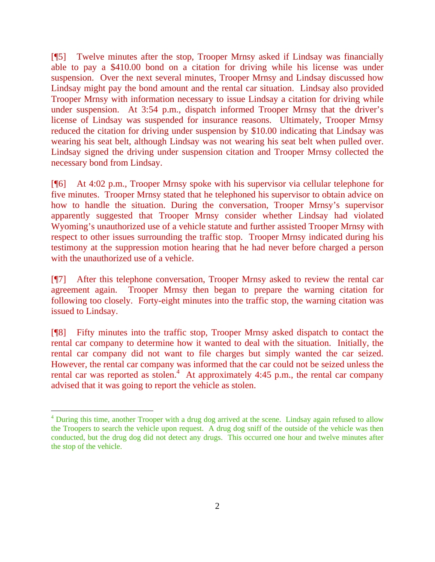[¶5] Twelve minutes after the stop, Trooper Mrnsy asked if Lindsay was financially able to pay a \$410.00 bond on a citation for driving while his license was under suspension. Over the next several minutes, Trooper Mrnsy and Lindsay discussed how Lindsay might pay the bond amount and the rental car situation. Lindsay also provided Trooper Mrnsy with information necessary to issue Lindsay a citation for driving while under suspension. At 3:54 p.m., dispatch informed Trooper Mrnsy that the driver's license of Lindsay was suspended for insurance reasons. Ultimately, Trooper Mrnsy reduced the citation for driving under suspension by \$10.00 indicating that Lindsay was wearing his seat belt, although Lindsay was not wearing his seat belt when pulled over. Lindsay signed the driving under suspension citation and Trooper Mrnsy collected the necessary bond from Lindsay.

[¶6] At 4:02 p.m., Trooper Mrnsy spoke with his supervisor via cellular telephone for five minutes. Trooper Mrnsy stated that he telephoned his supervisor to obtain advice on how to handle the situation. During the conversation, Trooper Mrnsy's supervisor apparently suggested that Trooper Mrnsy consider whether Lindsay had violated Wyoming's unauthorized use of a vehicle statute and further assisted Trooper Mrnsy with respect to other issues surrounding the traffic stop. Trooper Mrnsy indicated during his testimony at the suppression motion hearing that he had never before charged a person with the unauthorized use of a vehicle.

[¶7] After this telephone conversation, Trooper Mrnsy asked to review the rental car agreement again. Trooper Mrnsy then began to prepare the warning citation for following too closely. Forty-eight minutes into the traffic stop, the warning citation was issued to Lindsay.

[¶8] Fifty minutes into the traffic stop, Trooper Mrnsy asked dispatch to contact the rental car company to determine how it wanted to deal with the situation. Initially, the rental car company did not want to file charges but simply wanted the car seized. However, the rental car company was informed that the car could not be seized unless the rental car was reported as stolen.<sup>4</sup> At approximately 4:45 p.m., the rental car company advised that it was going to report the vehicle as stolen.

<sup>&</sup>lt;sup>4</sup> During this time, another Trooper with a drug dog arrived at the scene. Lindsay again refused to allow the Troopers to search the vehicle upon request. A drug dog sniff of the outside of the vehicle was then conducted, but the drug dog did not detect any drugs. This occurred one hour and twelve minutes after the stop of the vehicle.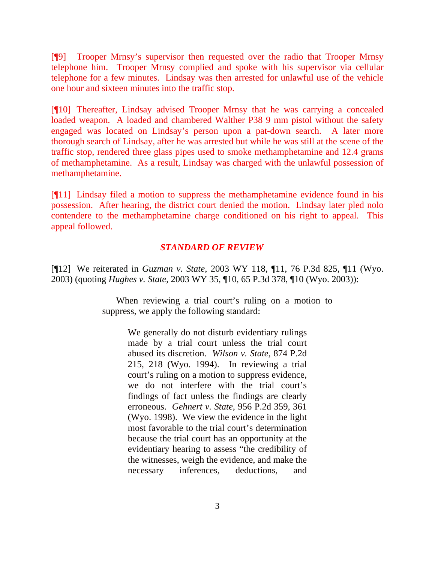[¶9] Trooper Mrnsy's supervisor then requested over the radio that Trooper Mrnsy telephone him. Trooper Mrnsy complied and spoke with his supervisor via cellular telephone for a few minutes. Lindsay was then arrested for unlawful use of the vehicle one hour and sixteen minutes into the traffic stop.

[¶10] Thereafter, Lindsay advised Trooper Mrnsy that he was carrying a concealed loaded weapon. A loaded and chambered Walther P38 9 mm pistol without the safety engaged was located on Lindsay's person upon a pat-down search. A later more thorough search of Lindsay, after he was arrested but while he was still at the scene of the traffic stop, rendered three glass pipes used to smoke methamphetamine and 12.4 grams of methamphetamine. As a result, Lindsay was charged with the unlawful possession of methamphetamine.

[¶11] Lindsay filed a motion to suppress the methamphetamine evidence found in his possession. After hearing, the district court denied the motion. Lindsay later pled nolo contendere to the methamphetamine charge conditioned on his right to appeal. This appeal followed.

## *STANDARD OF REVIEW*

[¶12] We reiterated in *Guzman v. State*, 2003 WY 118, ¶11, 76 P.3d 825, ¶11 (Wyo. 2003) (quoting *Hughes v. State*, 2003 WY 35, ¶10, 65 P.3d 378, ¶10 (Wyo. 2003)):

> When reviewing a trial court's ruling on a motion to suppress, we apply the following standard:

> > We generally do not disturb evidentiary rulings made by a trial court unless the trial court abused its discretion. *Wilson v. State*, 874 P.2d 215, 218 (Wyo. 1994). In reviewing a trial court's ruling on a motion to suppress evidence, we do not interfere with the trial court's findings of fact unless the findings are clearly erroneous. *Gehnert v. State*, 956 P.2d 359, 361 (Wyo. 1998). We view the evidence in the light most favorable to the trial court's determination because the trial court has an opportunity at the evidentiary hearing to assess "the credibility of the witnesses, weigh the evidence, and make the necessary inferences, deductions, and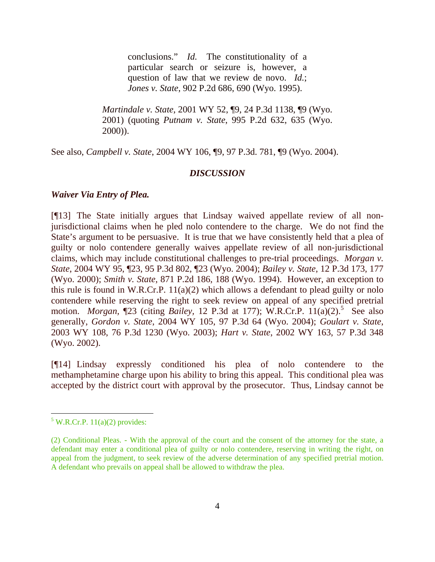conclusions." *Id.* The constitutionality of a particular search or seizure is, however, a question of law that we review de novo. *Id.*; *Jones v. State*, 902 P.2d 686, 690 (Wyo. 1995).

*Martindale v. State*, 2001 WY 52, ¶9, 24 P.3d 1138, ¶9 (Wyo. 2001) (quoting *Putnam v. State*, 995 P.2d 632, 635 (Wyo. 2000)).

See also, *Campbell v. State*, 2004 WY 106, ¶9, 97 P.3d. 781, ¶9 (Wyo. 2004).

### *DISCUSSION*

#### *Waiver Via Entry of Plea.*

[¶13] The State initially argues that Lindsay waived appellate review of all nonjurisdictional claims when he pled nolo contendere to the charge. We do not find the State's argument to be persuasive. It is true that we have consistently held that a plea of guilty or nolo contendere generally waives appellate review of all non-jurisdictional claims, which may include constitutional challenges to pre-trial proceedings. *Morgan v. State*, 2004 WY 95, ¶23, 95 P.3d 802, ¶23 (Wyo. 2004); *Bailey v. State*, 12 P.3d 173, 177 (Wyo. 2000); *Smith v. State*, 871 P.2d 186, 188 (Wyo. 1994). However, an exception to this rule is found in W.R.Cr.P. 11(a)(2) which allows a defendant to plead guilty or nolo contendere while reserving the right to seek review on appeal of any specified pretrial motion. *Morgan*, [23 (citing *Bailey*, 12 P.3d at 177); W.R.Cr.P. 11(a)(2).<sup>5</sup> See also generally, *Gordon v. State*, 2004 WY 105, 97 P.3d 64 (Wyo. 2004); *Goulart v. State*, 2003 WY 108, 76 P.3d 1230 (Wyo. 2003); *Hart v. State*, 2002 WY 163, 57 P.3d 348 (Wyo. 2002).

[¶14] Lindsay expressly conditioned his plea of nolo contendere to the methamphetamine charge upon his ability to bring this appeal. This conditional plea was accepted by the district court with approval by the prosecutor. Thus, Lindsay cannot be

 $5$  W.R.Cr.P. 11(a)(2) provides:

<sup>(2)</sup> Conditional Pleas. - With the approval of the court and the consent of the attorney for the state, a defendant may enter a conditional plea of guilty or nolo contendere, reserving in writing the right, on appeal from the judgment, to seek review of the adverse determination of any specified pretrial motion. A defendant who prevails on appeal shall be allowed to withdraw the plea.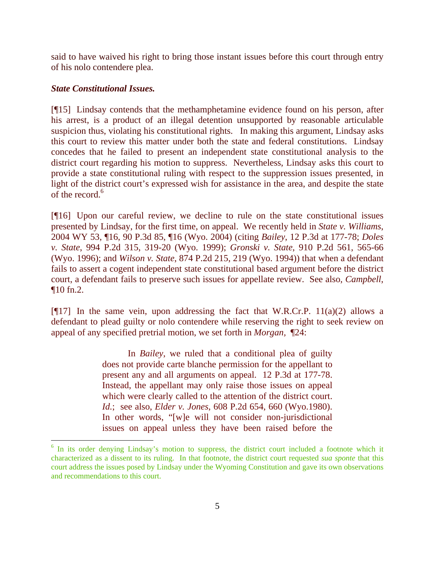said to have waived his right to bring those instant issues before this court through entry of his nolo contendere plea.

### *State Constitutional Issues.*

 $\overline{a}$ 

[¶15] Lindsay contends that the methamphetamine evidence found on his person, after his arrest, is a product of an illegal detention unsupported by reasonable articulable suspicion thus, violating his constitutional rights. In making this argument, Lindsay asks this court to review this matter under both the state and federal constitutions. Lindsay concedes that he failed to present an independent state constitutional analysis to the district court regarding his motion to suppress. Nevertheless, Lindsay asks this court to provide a state constitutional ruling with respect to the suppression issues presented, in light of the district court's expressed wish for assistance in the area, and despite the state of the record.<sup>6</sup>

[¶16] Upon our careful review, we decline to rule on the state constitutional issues presented by Lindsay, for the first time, on appeal. We recently held in *State v. Williams*, 2004 WY 53, ¶16, 90 P.3d 85, ¶16 (Wyo. 2004) (citing *Bailey*, 12 P.3d at 177-78; *Doles v. State*, 994 P.2d 315, 319-20 (Wyo. 1999); *Gronski v. State*, 910 P.2d 561, 565-66 (Wyo. 1996); and *Wilson v. State*, 874 P.2d 215, 219 (Wyo. 1994)) that when a defendant fails to assert a cogent independent state constitutional based argument before the district court, a defendant fails to preserve such issues for appellate review. See also, *Campbell*, ¶10 fn.2.

[ $[17]$ ] In the same vein, upon addressing the fact that W.R.Cr.P. 11(a)(2) allows a defendant to plead guilty or nolo contendere while reserving the right to seek review on appeal of any specified pretrial motion, we set forth in *Morgan,* ¶24:

> In *Bailey*, we ruled that a conditional plea of guilty does not provide carte blanche permission for the appellant to present any and all arguments on appeal. 12 P.3d at 177-78. Instead, the appellant may only raise those issues on appeal which were clearly called to the attention of the district court. *Id.*; see also, *Elder v. Jones*, 608 P.2d 654, 660 (Wyo.1980). In other words, "[w]e will not consider non-jurisdictional issues on appeal unless they have been raised before the

<sup>&</sup>lt;sup>6</sup> In its order denying Lindsay's motion to suppress, the district court included a footnote which it characterized as a dissent to its ruling. In that footnote, the district court requested *sua sponte* that this court address the issues posed by Lindsay under the Wyoming Constitution and gave its own observations and recommendations to this court.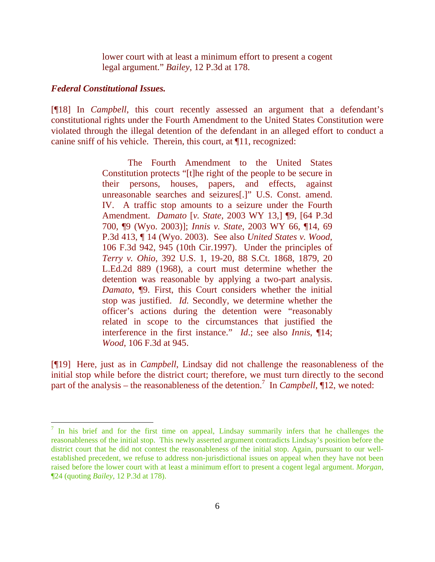lower court with at least a minimum effort to present a cogent legal argument." *Bailey*, 12 P.3d at 178.

#### *Federal Constitutional Issues.*

[¶18] In *Campbell*, this court recently assessed an argument that a defendant's constitutional rights under the Fourth Amendment to the United States Constitution were violated through the illegal detention of the defendant in an alleged effort to conduct a canine sniff of his vehicle. Therein, this court, at ¶11, recognized:

> The Fourth Amendment to the United States Constitution protects "[t]he right of the people to be secure in their persons, houses, papers, and effects, against unreasonable searches and seizures[.]" U.S. Const. amend. IV. A traffic stop amounts to a seizure under the Fourth Amendment. *Damato* [*v. State*, 2003 WY 13,] ¶9, [64 P.3d 700, ¶9 (Wyo. 2003)]; *Innis v. State*, 2003 WY 66, ¶14, 69 P.3d 413, ¶ 14 (Wyo. 2003). See also *United States v. Wood*, 106 F.3d 942, 945 (10th Cir.1997). Under the principles of *Terry v. Ohio*, 392 U.S. 1, 19-20, 88 S.Ct. 1868, 1879, 20 L.Ed.2d 889 (1968), a court must determine whether the detention was reasonable by applying a two-part analysis. *Damato*, ¶9. First, this Court considers whether the initial stop was justified. *Id.* Secondly, we determine whether the officer's actions during the detention were "reasonably related in scope to the circumstances that justified the interference in the first instance." *Id*.; see also *Innis*, ¶14; *Wood*, 106 F.3d at 945.

[¶19] Here, just as in *Campbell*, Lindsay did not challenge the reasonableness of the initial stop while before the district court; therefore, we must turn directly to the second part of the analysis – the reasonableness of the detention.<sup>7</sup> In *Campbell*,  $\P$ 12, we noted:

<sup>&</sup>lt;sup>7</sup> In his brief and for the first time on appeal, Lindsay summarily infers that he challenges the reasonableness of the initial stop. This newly asserted argument contradicts Lindsay's position before the district court that he did not contest the reasonableness of the initial stop. Again, pursuant to our wellestablished precedent, we refuse to address non-jurisdictional issues on appeal when they have not been raised before the lower court with at least a minimum effort to present a cogent legal argument. *Morgan,* ¶24 (quoting *Bailey*, 12 P.3d at 178).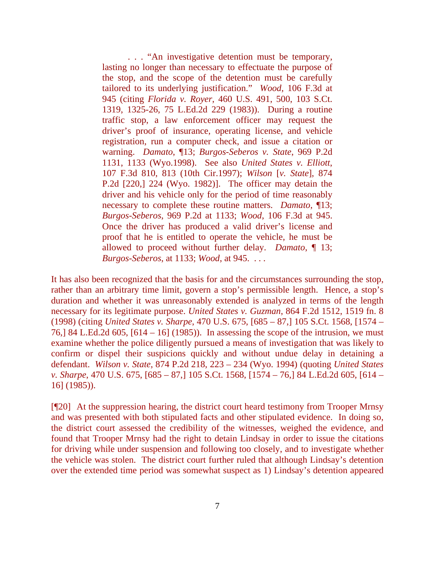. . . "An investigative detention must be temporary, lasting no longer than necessary to effectuate the purpose of the stop, and the scope of the detention must be carefully tailored to its underlying justification." *Wood*, 106 F.3d at 945 (citing *Florida v. Royer*, 460 U.S. 491, 500, 103 S.Ct. 1319, 1325-26, 75 L.Ed.2d 229 (1983)). During a routine traffic stop, a law enforcement officer may request the driver's proof of insurance, operating license, and vehicle registration, run a computer check, and issue a citation or warning. *Damato*, ¶13; *Burgos-Seberos v. State*, 969 P.2d 1131, 1133 (Wyo.1998). See also *United States v. Elliott*, 107 F.3d 810, 813 (10th Cir.1997); *Wilson* [*v. State*], 874 P.2d [220,] 224 (Wyo. 1982)]. The officer may detain the driver and his vehicle only for the period of time reasonably necessary to complete these routine matters. *Damato*, ¶13; *Burgos-Seberos*, 969 P.2d at 1133; *Wood*, 106 F.3d at 945. Once the driver has produced a valid driver's license and proof that he is entitled to operate the vehicle, he must be allowed to proceed without further delay. *Damato*, ¶ 13; *Burgos-Seberos*, at 1133; *Wood*, at 945. . . .

It has also been recognized that the basis for and the circumstances surrounding the stop, rather than an arbitrary time limit, govern a stop's permissible length. Hence, a stop's duration and whether it was unreasonably extended is analyzed in terms of the length necessary for its legitimate purpose. *United States v. Guzman*, 864 F.2d 1512, 1519 fn. 8 (1998) (citing *United States v. Sharpe*, 470 U.S. 675, [685 – 87,] 105 S.Ct. 1568, [1574 – 76,] 84 L.Ed.2d 605, [614 – 16] (1985)). In assessing the scope of the intrusion, we must examine whether the police diligently pursued a means of investigation that was likely to confirm or dispel their suspicions quickly and without undue delay in detaining a defendant. *Wilson v. State*, 874 P.2d 218, 223 – 234 (Wyo. 1994) (quoting *United States v. Sharpe*, 470 U.S. 675, [685 – 87,] 105 S.Ct. 1568, [1574 – 76,] 84 L.Ed.2d 605, [614 – 16] (1985)).

[¶20] At the suppression hearing, the district court heard testimony from Trooper Mrnsy and was presented with both stipulated facts and other stipulated evidence. In doing so, the district court assessed the credibility of the witnesses, weighed the evidence, and found that Trooper Mrnsy had the right to detain Lindsay in order to issue the citations for driving while under suspension and following too closely, and to investigate whether the vehicle was stolen. The district court further ruled that although Lindsay's detention over the extended time period was somewhat suspect as 1) Lindsay's detention appeared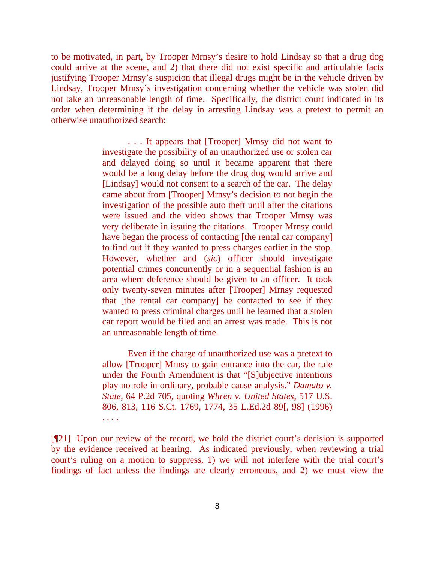to be motivated, in part, by Trooper Mrnsy's desire to hold Lindsay so that a drug dog could arrive at the scene, and 2) that there did not exist specific and articulable facts justifying Trooper Mrnsy's suspicion that illegal drugs might be in the vehicle driven by Lindsay, Trooper Mrnsy's investigation concerning whether the vehicle was stolen did not take an unreasonable length of time. Specifically, the district court indicated in its order when determining if the delay in arresting Lindsay was a pretext to permit an otherwise unauthorized search:

> . . . It appears that [Trooper] Mrnsy did not want to investigate the possibility of an unauthorized use or stolen car and delayed doing so until it became apparent that there would be a long delay before the drug dog would arrive and [Lindsay] would not consent to a search of the car. The delay came about from [Trooper] Mrnsy's decision to not begin the investigation of the possible auto theft until after the citations were issued and the video shows that Trooper Mrnsy was very deliberate in issuing the citations. Trooper Mrnsy could have began the process of contacting [the rental car company] to find out if they wanted to press charges earlier in the stop. However, whether and (*sic*) officer should investigate potential crimes concurrently or in a sequential fashion is an area where deference should be given to an officer. It took only twenty-seven minutes after [Trooper] Mrnsy requested that [the rental car company] be contacted to see if they wanted to press criminal charges until he learned that a stolen car report would be filed and an arrest was made. This is not an unreasonable length of time.

> Even if the charge of unauthorized use was a pretext to allow [Trooper] Mrnsy to gain entrance into the car, the rule under the Fourth Amendment is that "[S]ubjective intentions play no role in ordinary, probable cause analysis." *Damato v. State*, 64 P.2d 705, quoting *Whren v. United States*, 517 U.S. 806, 813, 116 S.Ct. 1769, 1774, 35 L.Ed.2d 89[, 98] (1996) . . . .

[¶21] Upon our review of the record, we hold the district court's decision is supported by the evidence received at hearing. As indicated previously, when reviewing a trial court's ruling on a motion to suppress, 1) we will not interfere with the trial court's findings of fact unless the findings are clearly erroneous, and 2) we must view the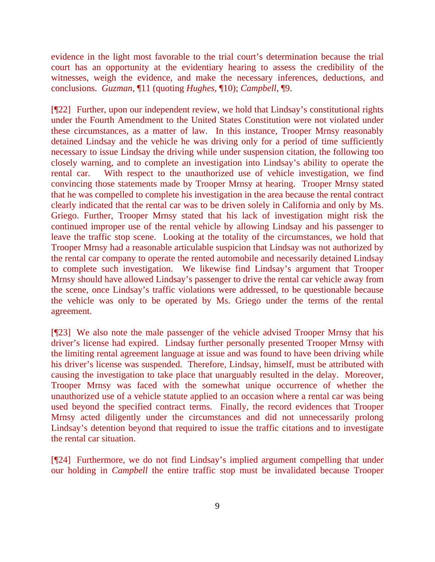evidence in the light most favorable to the trial court's determination because the trial court has an opportunity at the evidentiary hearing to assess the credibility of the witnesses, weigh the evidence, and make the necessary inferences, deductions, and conclusions. *Guzman*, ¶11 (quoting *Hughes,* ¶10); *Campbell,* ¶9.

[¶22] Further, upon our independent review, we hold that Lindsay's constitutional rights under the Fourth Amendment to the United States Constitution were not violated under these circumstances, as a matter of law. In this instance, Trooper Mrnsy reasonably detained Lindsay and the vehicle he was driving only for a period of time sufficiently necessary to issue Lindsay the driving while under suspension citation, the following too closely warning, and to complete an investigation into Lindsay's ability to operate the rental car. With respect to the unauthorized use of vehicle investigation, we find convincing those statements made by Trooper Mrnsy at hearing. Trooper Mrnsy stated that he was compelled to complete his investigation in the area because the rental contract clearly indicated that the rental car was to be driven solely in California and only by Ms. Griego. Further, Trooper Mrnsy stated that his lack of investigation might risk the continued improper use of the rental vehicle by allowing Lindsay and his passenger to leave the traffic stop scene. Looking at the totality of the circumstances, we hold that Trooper Mrnsy had a reasonable articulable suspicion that Lindsay was not authorized by the rental car company to operate the rented automobile and necessarily detained Lindsay to complete such investigation. We likewise find Lindsay's argument that Trooper Mrnsy should have allowed Lindsay's passenger to drive the rental car vehicle away from the scene, once Lindsay's traffic violations were addressed, to be questionable because the vehicle was only to be operated by Ms. Griego under the terms of the rental agreement.

[¶23] We also note the male passenger of the vehicle advised Trooper Mrnsy that his driver's license had expired. Lindsay further personally presented Trooper Mrnsy with the limiting rental agreement language at issue and was found to have been driving while his driver's license was suspended. Therefore, Lindsay, himself, must be attributed with causing the investigation to take place that unarguably resulted in the delay. Moreover, Trooper Mrnsy was faced with the somewhat unique occurrence of whether the unauthorized use of a vehicle statute applied to an occasion where a rental car was being used beyond the specified contract terms. Finally, the record evidences that Trooper Mrnsy acted diligently under the circumstances and did not unnecessarily prolong Lindsay's detention beyond that required to issue the traffic citations and to investigate the rental car situation.

[¶24] Furthermore, we do not find Lindsay's implied argument compelling that under our holding in *Campbell* the entire traffic stop must be invalidated because Trooper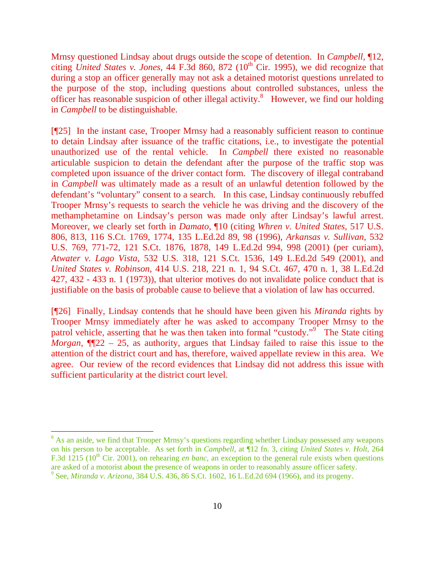Mrnsy questioned Lindsay about drugs outside the scope of detention. In *Campbell,* ¶12, citing *United States v. Jones*, 44 F.3d 860, 872  $(10<sup>th</sup>$  Cir. 1995), we did recognize that during a stop an officer generally may not ask a detained motorist questions unrelated to the purpose of the stop, including questions about controlled substances, unless the officer has reasonable suspicion of other illegal activity.<sup>8</sup> However, we find our holding in *Campbell* to be distinguishable.

[¶25] In the instant case, Trooper Mrnsy had a reasonably sufficient reason to continue to detain Lindsay after issuance of the traffic citations, i.e., to investigate the potential unauthorized use of the rental vehicle. In *Campbell* there existed no reasonable articulable suspicion to detain the defendant after the purpose of the traffic stop was completed upon issuance of the driver contact form. The discovery of illegal contraband in *Campbell* was ultimately made as a result of an unlawful detention followed by the defendant's "voluntary" consent to a search. In this case, Lindsay continuously rebuffed Trooper Mrnsy's requests to search the vehicle he was driving and the discovery of the methamphetamine on Lindsay's person was made only after Lindsay's lawful arrest. Moreover, we clearly set forth in *Damato,* ¶10 (citing *Whren v. United States*, 517 U.S. 806, 813, 116 S.Ct. 1769, 1774, 135 L.Ed.2d 89, 98 (1996), *Arkansas v. Sullivan*, 532 U.S. 769, 771-72, 121 S.Ct. 1876, 1878, 149 L.Ed.2d 994, 998 (2001) (per curiam), *Atwater v. Lago Vista*, 532 U.S. 318, 121 S.Ct. 1536, 149 L.Ed.2d 549 (2001), and *United States v. Robinson*, 414 U.S. 218, 221 n. 1, 94 S.Ct. 467, 470 n. 1, 38 L.Ed.2d 427, 432 - 433 n. 1 (1973)), that ulterior motives do not invalidate police conduct that is justifiable on the basis of probable cause to believe that a violation of law has occurred.

[¶26] Finally, Lindsay contends that he should have been given his *Miranda* rights by Trooper Mrnsy immediately after he was asked to accompany Trooper Mrnsy to the patrol vehicle, asserting that he was then taken into formal "custody."<sup>9</sup> The State citing *Morgan*,  $\P$ 22 – 25, as authority, argues that Lindsay failed to raise this issue to the attention of the district court and has, therefore, waived appellate review in this area. We agree. Our review of the record evidences that Lindsay did not address this issue with sufficient particularity at the district court level.

<sup>&</sup>lt;sup>8</sup> As an aside, we find that Trooper Mrnsy's questions regarding whether Lindsay possessed any weapons on his person to be acceptable. As set forth in *Campbell*, at ¶12 fn. 3, citing *United States v. Holt*, 264 F.3d 1215 (10<sup>th</sup> Cir. 2001), on rehearing *en banc*, an exception to the general rule exists when questions are asked of a motorist about the presence of weapons in order to reasonably assure officer safety.  $9^9$  See, *Miranda v. Arizona*, 384 U.S. 436, 86 S.Ct. 1602, 16 L.Ed.2d 694 (1966), and its progeny.